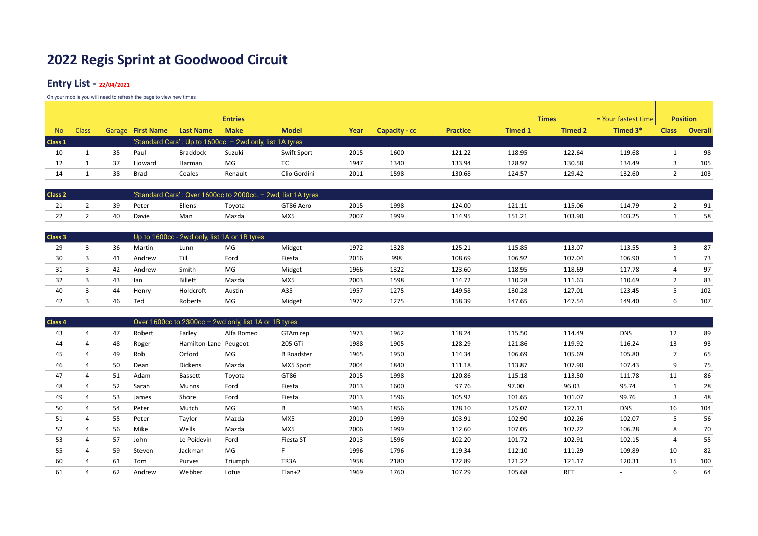### **Entry List - 22/04/2021**

|           |              |    |                   |                  | <b>Entries</b> |                                                          |      |               |                 |                | <b>Times</b>   | $=$ Your fastest time |              | <b>Position</b> |
|-----------|--------------|----|-------------------|------------------|----------------|----------------------------------------------------------|------|---------------|-----------------|----------------|----------------|-----------------------|--------------|-----------------|
| <b>No</b> | <b>Class</b> |    | Garage First Name | <b>Last Name</b> | <b>Make</b>    | <b>Model</b>                                             | Year | Capacity - cc | <b>Practice</b> | <b>Timed 1</b> | <b>Timed 2</b> | Timed 3*              | <b>Class</b> | <b>Overall</b>  |
| Class 1   |              |    |                   |                  |                | 'Standard Cars': Up to 1600cc. - 2wd only, list 1A tyres |      |               |                 |                |                |                       |              |                 |
| 10        |              | 35 | Paul              | <b>Braddock</b>  | Suzuki         | Swift Sport                                              | 2015 | 1600          | 121.22          | 118.95         | 122.64         | 119.68                |              | 98              |
| 12        |              | 37 | Howard            | Harman           | MG             | TC                                                       | 1947 | 1340          | 133.94          | 128.97         | 130.58         | 134.49                |              | 105             |
|           |              | 38 | Brad              | Coales           | Renault        | Clio Gordini                                             | 2011 | 1598          | 130.68          | 124.57         | 129.42         | 132.60                |              | 103             |

| <b>Class 2</b> |    |       |        |        | Standard Cars': Over 1600cc to 2000cc. - 2wd, list 1A tyres |      |      |        |        |        |        |    |
|----------------|----|-------|--------|--------|-------------------------------------------------------------|------|------|--------|--------|--------|--------|----|
|                | 39 | Pete  | Ellens | Tovota | GT86 Aero                                                   | 2015 | 1998 | 124.00 | 121.11 | 115.06 | 114.79 | 91 |
|                | 40 | Davie | Man    | Mazda  | MX5                                                         | 200  | 1999 | 114.95 | 151.21 | 103.90 | 103.25 |    |

| Class 3 |    |        | Up to 1600cc - 2wd only, list 1A or 1B tyres |        |        |      |      |        |        |        |        |     |
|---------|----|--------|----------------------------------------------|--------|--------|------|------|--------|--------|--------|--------|-----|
| 29      | 36 | Martin | Lunn                                         | MG     | Midget | 1972 | 1328 | 125.21 | 115.85 | 113.07 | 113.55 | 87  |
| 30      | 41 | Andrew | Till                                         | Ford   | Fiesta | 2016 | 998  | 108.69 | 106.92 | 107.04 | 106.90 | 73  |
| 31      | 42 | Andrew | Smith                                        | MG     | Midget | 1966 | 1322 | 123.60 | 118.95 | 118.69 | 117.78 | 97  |
| 32      | 43 | lan    | Billett                                      | Mazda  | MX5    | 2003 | 1598 | 114.72 | 110.28 | 111.63 | 110.69 | 83  |
| 40      | 44 | Henry  | Holdcroft                                    | Austin | A35    | 1957 | 1275 | 149.58 | 130.28 | 127.01 | 123.45 | 102 |
| 42      | 46 | Ted    | Roberts                                      | MG     | Midget | 1972 | 1275 | 158.39 | 147.65 | 147.54 | 149.40 | 107 |

| <b>Class 4</b> |    |        |                       | Over 1600cc to 2300cc - 2wd only, list 1A or 1B tyres |                   |      |      |        |        |            |            |                           |     |
|----------------|----|--------|-----------------------|-------------------------------------------------------|-------------------|------|------|--------|--------|------------|------------|---------------------------|-----|
| 43             | 47 | Robert | Farley                | Alfa Romeo                                            | GTAm rep          | 1973 | 1962 | 118.24 | 115.50 | 114.49     | <b>DNS</b> | 12                        | 89  |
| 44             | 48 | Roger  | Hamilton-Lane Peugeot |                                                       | 205 GTi           | 1988 | 1905 | 128.29 | 121.86 | 119.92     | 116.24     | 13                        | 93  |
| 45             | 49 | Rob    | Orford                | MG                                                    | <b>B</b> Roadster | 1965 | 1950 | 114.34 | 106.69 | 105.69     | 105.80     | $\overline{7}$            | 65  |
| 46             | 50 | Dean   | Dickens               | Mazda                                                 | MX5 Sport         | 2004 | 1840 | 111.18 | 113.87 | 107.90     | 107.43     | 9                         | 75  |
| 47             | 51 | Adam   | Bassett               | Toyota                                                | GT86              | 2015 | 1998 | 120.86 | 115.18 | 113.50     | 111.78     | 11                        | 86  |
| 48             | 52 | Sarah  | Munns                 | Ford                                                  | Fiesta            | 2013 | 1600 | 97.76  | 97.00  | 96.03      | 95.74      | $\overline{ }$<br>$\perp$ | 28  |
| 49             | 53 | James  | Shore                 | Ford                                                  | Fiesta            | 2013 | 1596 | 105.92 | 101.65 | 101.07     | 99.76      | 3                         | 48  |
| 50             | 54 | Peter  | Mutch                 | MG                                                    | B                 | 1963 | 1856 | 128.10 | 125.07 | 127.11     | <b>DNS</b> | 16                        | 104 |
| 51             | 55 | Peter  | Taylor                | Mazda                                                 | MX5               | 2010 | 1999 | 103.91 | 102.90 | 102.26     | 102.07     | 5                         | 56  |
| 52             | 56 | Mike   | Wells                 | Mazda                                                 | MX5               | 2006 | 1999 | 112.60 | 107.05 | 107.22     | 106.28     | 8                         | 70  |
| 53             | 57 | John   | Le Poidevin           | Ford                                                  | Fiesta ST         | 2013 | 1596 | 102.20 | 101.72 | 102.91     | 102.15     | 4                         | 55  |
| 55             | 59 | Steven | Jackman               | MG                                                    |                   | 1996 | 1796 | 119.34 | 112.10 | 111.29     | 109.89     | 10                        | 82  |
| 60             | 61 | Tom    | Purves                | Triumph                                               | TR3A              | 1958 | 2180 | 122.89 | 121.22 | 121.17     | 120.31     | 15                        | 100 |
| 61             | 62 | Andrew | Webber                | Lotus                                                 | $Elan+2$          | 1969 | 1760 | 107.29 | 105.68 | <b>RET</b> | $\sim$     | 6                         | 64  |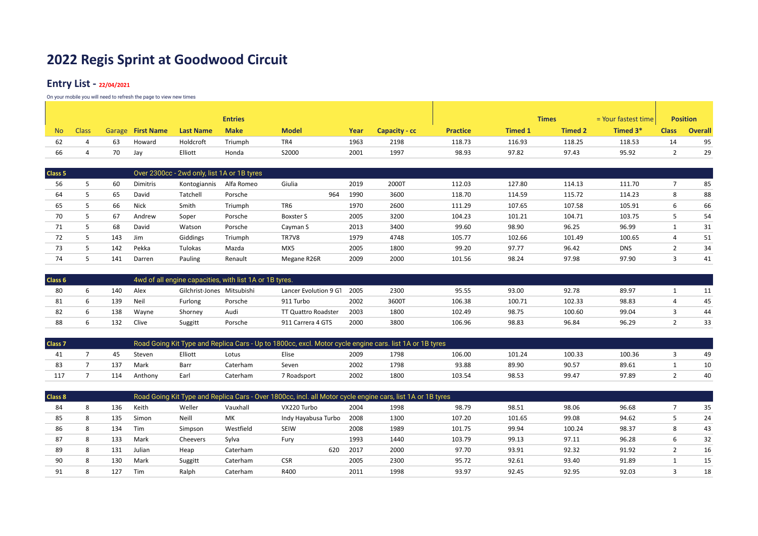### **Entry List - 22/04/2021**

|     |              |                   |        |                  | <b>Entries</b> |              |      |               |                 |                | <b>Times</b>   | $=$ Your fastest time |              | <b>Position</b> |
|-----|--------------|-------------------|--------|------------------|----------------|--------------|------|---------------|-----------------|----------------|----------------|-----------------------|--------------|-----------------|
| No. | <b>Class</b> | Garage First Name |        | <b>Last Name</b> | <b>Make</b>    | <b>Model</b> | Year | Capacity - cc | <b>Practice</b> | <b>Timed 1</b> | <b>Timed 2</b> | Timed 3*              | <b>Class</b> | <b>Overall</b>  |
| 62  |              |                   | Howard | Holdcroft        | Triumph        | TR4          | 1963 | 2198          | 118.73          | 116.93         | 118.25         | 118.53                | 14           | 95              |
| 66  |              | 70<br>Jav         |        | Elliott          | Honda          | S2000        | 2001 | 1997          | 98.93           | 97.82          | 97.43          | 95.92                 |              | 29              |

| Class <sub>5</sub> |     |          | Over 2300cc - 2wd only, list 1A or 1B tyres |            |                  |     |      |       |        |        |        |            |   |    |
|--------------------|-----|----------|---------------------------------------------|------------|------------------|-----|------|-------|--------|--------|--------|------------|---|----|
| 56                 | 60  | Dimitris | Kontogiannis                                | Alfa Romeo | Giulia           |     | 2019 | 2000T | 112.03 | 127.80 | 114.13 | 111.70     |   | 85 |
| 64                 | 65  | David    | Tatchell                                    | Porsche    |                  | 964 | 1990 | 3600  | 118.70 | 114.59 | 115.72 | 114.23     | 8 | 88 |
| 65                 | 66  | Nick     | Smith                                       | Triumph    | TR6              |     | 1970 | 2600  | 111.29 | 107.65 | 107.58 | 105.91     | b | 66 |
| 70                 | 67  | Andrew   | Soper                                       | Porsche    | <b>Boxster S</b> |     | 2005 | 3200  | 104.23 | 101.21 | 104.71 | 103.75     |   | 54 |
|                    | 68  | David    | Watson                                      | Porsche    | Cayman S         |     | 2013 | 3400  | 99.60  | 98.90  | 96.25  | 96.99      |   | 31 |
| 72                 | 143 | Jim      | Giddings                                    | Triumph    | TR7V8            |     | 1979 | 4748  | 105.77 | 102.66 | 101.49 | 100.65     | 4 | 51 |
| 73                 | 142 | Pekka    | Tulokas                                     | Mazda      | MX5              |     | 2005 | 1800  | 99.20  | 97.77  | 96.42  | <b>DNS</b> |   | 34 |
| 74                 | 141 | Darren   | Pauling                                     | Renault    | Megane R26R      |     | 2009 | 2000  | 101.56 | 98.24  | 97.98  | 97.90      |   | 41 |

| Class 6 |     |       |                            | 4wd of all engine capacities, with list 1A or 1B tyres. |                       |      |       |        |        |        |       |    |
|---------|-----|-------|----------------------------|---------------------------------------------------------|-----------------------|------|-------|--------|--------|--------|-------|----|
| 80      | 140 | Alex  | Gilchrist-Jones Mitsubishi |                                                         | Lancer Evolution 9 G1 | 2005 | 2300  | 95.55  | 93.00  | 92.78  | 89.97 |    |
|         | 139 | Neil  | Furlong                    | Porsche                                                 | 911 Turbo             | 2002 | 3600T | 106.38 | 100.71 | 102.33 | 98.83 | 45 |
|         | 138 | Wayne | Shornev                    | Audi                                                    | TT Quattro Roadster   | 2003 | 1800  | 102.49 | 98.75  | 100.60 | 99.04 | 44 |
|         | 132 | Clive | Suggitt                    | Porsche                                                 | 911 Carrera 4 GTS     | 2000 | 3800  | 106.96 | 98.83  | 96.84  | 96.29 |    |

| <b>Class 7</b> |     |         |         |          | Road Going Kit Type and Replica Cars - Up to 1800cc, excl. Motor cycle engine cars. list 1A or 1B tyres |      |      |        |        |        |        |    |
|----------------|-----|---------|---------|----------|---------------------------------------------------------------------------------------------------------|------|------|--------|--------|--------|--------|----|
|                |     | Stever  | Elliott | Lotus    | Elise                                                                                                   | 2009 | 1798 | 106.00 | 101.24 | 100.33 | 100.36 | 49 |
|                | 137 | Mark    | Barr    | Caterham | Seven                                                                                                   | 2002 | 1798 | 93.88  | 89.90  | 90.57  | 89.61  | 10 |
|                | 114 | Anthony | Earl    | Caterham | 7 Roadsport                                                                                             | 2002 | 1800 | 103.54 | 98.53  | 99.47  | 97.89  | 40 |

| <b>Class 8</b> |     |            |          |           | Road Going Kit Type and Replica Cars - Over 1800cc, incl. all Motor cycle engine cars, list 1A or 1B tyres |      |      |        |        |        |       |   |    |
|----------------|-----|------------|----------|-----------|------------------------------------------------------------------------------------------------------------|------|------|--------|--------|--------|-------|---|----|
| 84             | 136 | Keith      | Weller   | Vauxhall  | VX220 Turbo                                                                                                | 2004 | 1998 | 98.79  | 98.51  | 98.06  | 96.68 |   | 35 |
| 85             | 135 | Simon      | Neill    | MK        | Indy Hayabusa Turbo                                                                                        | 2008 | 1300 | 107.20 | 101.65 | 99.08  | 94.62 |   | 24 |
| 86             | 134 | Tim        | Simpson  | Westfield | <b>SEIW</b>                                                                                                | 2008 | 1989 | 101.75 | 99.94  | 100.24 | 98.37 | Õ | 43 |
| 87             | 133 | Mark       | Cheevers | Sylva     | Furv                                                                                                       | 1993 | 1440 | 103.79 | 99.13  | 97.11  | 96.28 | b | 32 |
| 89             | 131 | Julian     | Heap     | Caterham  | 620                                                                                                        | 2017 | 2000 | 97.70  | 93.91  | 92.32  | 91.92 |   | 16 |
|                | 130 | Mark       | Suggitt  | Caterham  | <b>CSR</b>                                                                                                 | 2005 | 2300 | 95.72  | 92.61  | 93.40  | 91.89 |   | 15 |
| 91             | 127 | <b>Tim</b> | Ralph    | Caterham  | R400                                                                                                       | 2011 | 1998 | 93.97  | 92.45  | 92.95  | 92.03 |   | 18 |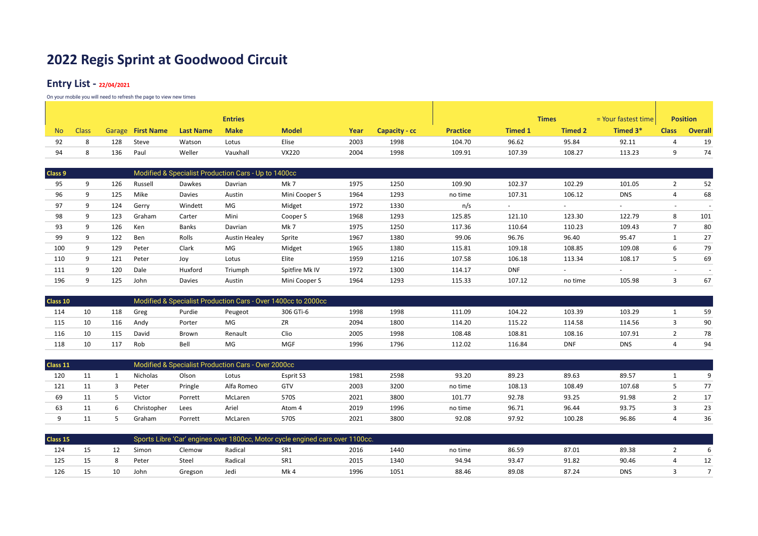### **Entry List - 22/04/2021**

|     |              |     |                   |                  | <b>Entries</b> |              |      |               |                 |                | <b>Times</b>   | $=$ Your fastest time |              | <b>Position</b> |
|-----|--------------|-----|-------------------|------------------|----------------|--------------|------|---------------|-----------------|----------------|----------------|-----------------------|--------------|-----------------|
| No. | <b>Class</b> |     | Garage First Name | <b>Last Name</b> | <b>Make</b>    | <b>Model</b> | Year | Capacity - cc | <b>Practice</b> | <b>Timed 1</b> | <b>Timed 2</b> | Timed 3*              | <b>Class</b> | <b>Overall</b>  |
| 92  |              | 128 | Steve             | Watson           | Lotus          | Elise        | 2003 | 1998          | 104.70          | 96.62          | 95.84          | 92.11                 |              | 19              |
| 94  |              | 136 | Paul              | Weller           | Vauxhall       | <b>VX220</b> | 2004 | 1998          | 109.91          | 107.39         | 108.27         | 113.23                |              | 74              |

| q | 126 | Russell | <b>Dawkes</b> | Davrian              | Mk 7           | 1975                                                 | 1250 | 109.90  | 102.37     | 102.29                   | 101.05     | ∠                        | 52  |
|---|-----|---------|---------------|----------------------|----------------|------------------------------------------------------|------|---------|------------|--------------------------|------------|--------------------------|-----|
| 9 | 125 | Mike    | Davies        | Austin               | Mini Cooper S  | 1964                                                 | 1293 | no time | 107.31     | 106.12                   | <b>DNS</b> | 4                        | 68  |
| 9 | 124 | Gerry   | Windett       | MG                   | Midget         | 1972                                                 | 1330 | n/s     |            | $\overline{\phantom{a}}$ |            | $\overline{\phantom{a}}$ |     |
|   | 123 | Graham  | Carter        | Mini                 | Cooper S       | 1968                                                 | 1293 | 125.85  | 121.10     | 123.30                   | 122.79     | 8                        | 101 |
| 9 | 126 | Ken     | Banks         | Davrian              | Mk7            | 1975                                                 | 1250 | 117.36  | 110.64     | 110.23                   | 109.43     |                          | 80  |
| q | 122 | Ben     | Rolls         | <b>Austin Healey</b> | Sprite         | 1967                                                 | 1380 | 99.06   | 96.76      | 96.40                    | 95.47      |                          | 27  |
| Q | 129 | Peter   | Clark         | MG                   | Midget         | 1965                                                 | 1380 | 115.81  | 109.18     | 108.85                   | 109.08     | 6                        | 79  |
| 9 | 121 | Peter   | Joy           | Lotus                | Elite          | 1959                                                 | 1216 | 107.58  | 106.18     | 113.34                   | 108.17     | ь                        | 69  |
| q | 120 | Dale    | Huxford       | Triumph              | Spitfire Mk IV | 1972                                                 | 1300 | 114.17  | <b>DNF</b> |                          |            |                          |     |
| q | 125 | John    | Davies        | Austin               | Mini Cooper S  | 1964                                                 | 1293 | 115.33  | 107.12     | no time                  | 105.98     |                          | 67  |
|   |     |         |               |                      |                | Modified & Specialist Production Cars - Up to 1400cc |      |         |            |                          |            |                          |     |

| Class 10 |    |     |       |        |         | Modified & Specialist Production Cars - Over 1400cc to 2000cc |      |      |        |        |            |            |    |
|----------|----|-----|-------|--------|---------|---------------------------------------------------------------|------|------|--------|--------|------------|------------|----|
| 114      |    | 118 | Greg  | Purdie | Peugeot | 306 GTi-6                                                     | 1998 | 1998 | 111.09 | 104.22 | 103.39     | 103.29     | 59 |
| 115      | 10 | 116 | Andv  | Porter | MG      | ZR                                                            | 2094 | 1800 | 114.20 | 115.22 | 114.58     | 114.56     | 90 |
| 116      |    | 115 | David | Brown  | Renault | Clio                                                          | 2005 | 1998 | 108.48 | 108.81 | 108.16     | 107.91     | 78 |
| 118      |    | 117 | Rob   | Bell   | MG      | MGF                                                           | 1996 | 1796 | 112.02 | 116.84 | <b>DNF</b> | <b>DNS</b> | 94 |

| Class 11 |  |                   |         | Modified & Specialist Production Cars - Over 2000cc |           |      |      |         |        |        |        |          |
|----------|--|-------------------|---------|-----------------------------------------------------|-----------|------|------|---------|--------|--------|--------|----------|
| 120      |  | Nicholas          | Olson   | Lotus                                               | Esprit S3 | 1981 | 2598 | 93.20   | 89.23  | 89.63  | 89.57  | $\Omega$ |
| 121      |  | Pete <sup>®</sup> | Pringle | Alfa Romeo                                          | GTV       | 2003 | 3200 | no time | 108.13 | 108.49 | 107.68 | 77       |
| 69       |  | Victor            | Porrett | McLaren                                             | 570S      | 2021 | 3800 | 101.77  | 92.78  | 93.25  | 91.98  |          |
| 63       |  | Christopher       | Lees    | Ariel                                               | Atom 4    | 2019 | 1996 | no time | 96.71  | 96.44  | 93.75  | 23       |
|          |  | Graham            | Porrett | McLaren                                             | 570S      | 2021 | 3800 | 92.08   | 97.92  | 100.28 | 96.86  | 36       |

| Class 15<br>124 |  |  |       |         | Sports Libre 'Car' engines over 1800cc, Motor cycle engined cars over 1100cc. |      |      |      |         |       |       |            |  |
|-----------------|--|--|-------|---------|-------------------------------------------------------------------------------|------|------|------|---------|-------|-------|------------|--|
|                 |  |  | Simon | Clemow  | Radical                                                                       | SR1  | 2016 | 1440 | no time | 86.59 | 87.01 | 89.38      |  |
|                 |  |  | Peter | Steel   | Radical                                                                       | SR1  | 2015 | 1340 | 94.94   | 93.47 | 91.82 | 90.46      |  |
| 126             |  |  | John  | Gregson | Jedi                                                                          | Mk 4 | 1996 | 1051 | 88.46   | 89.08 | 87.24 | <b>DNS</b> |  |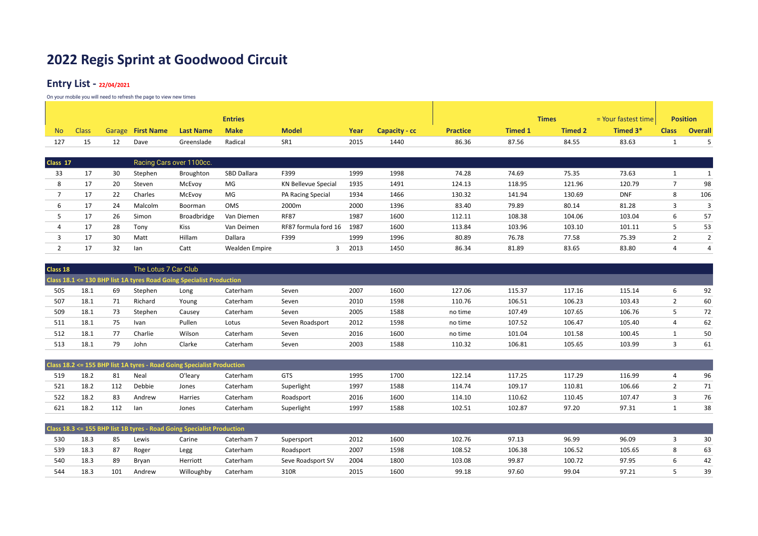### **Entry List - 22/04/2021**

|     |              |                          |                  | <b>Entries</b> |              |      |               |                 |                | <b>Times</b>   | $=$ Your fastest time |              | <b>Position</b> |
|-----|--------------|--------------------------|------------------|----------------|--------------|------|---------------|-----------------|----------------|----------------|-----------------------|--------------|-----------------|
| No. | <b>Class</b> | <b>Garage</b> First Name | <b>Last Name</b> | <b>Make</b>    | <b>Model</b> | Year | Capacity - cc | <b>Practice</b> | <b>Timed 1</b> | <b>Timed 2</b> | Timed 3*              | <b>Class</b> | Overall         |
|     |              | Dave                     | Greenslade       | Radical        | SR1          | 2015 | 1440          | 86.36           | 87.56          | 84.55          | 83.63                 |              |                 |

| Class 17 |         |    |         | Racing Cars over 1100cc. |                |                            |      |      |        |        |        |            |   |     |
|----------|---------|----|---------|--------------------------|----------------|----------------------------|------|------|--------|--------|--------|------------|---|-----|
| 33       | 17      | 30 | Stephen | Broughton                | SBD Dallara    | F399                       | 1999 | 1998 | 74.28  | 74.69  | 75.35  | 73.63      |   |     |
| 8        | $\perp$ | 20 | Steven  | McEvoy                   | MG             | <b>KN Bellevue Special</b> | 1935 | 1491 | 124.13 | 118.95 | 121.96 | 120.79     |   | 98  |
|          | 17      | 22 | Charles | McEvoy                   | MG             | PA Racing Special          | 1934 | 1466 | 130.32 | 141.94 | 130.69 | <b>DNF</b> | 8 | 106 |
|          |         | 24 | Malcolm | Boorman                  | <b>OMS</b>     | 2000m                      | 2000 | 1396 | 83.40  | 79.89  | 80.14  | 81.28      |   |     |
|          |         | 26 | Simon   | Broadbridge              | Van Diemen     | <b>RF87</b>                | 1987 | 1600 | 112.11 | 108.38 | 104.06 | 103.04     | b | 57  |
|          |         | 28 | Tony    | Kiss                     | Van Deimen     | RF87 formula ford 16       | 1987 | 1600 | 113.84 | 103.96 | 103.10 | 101.11     | ∼ | 53  |
|          |         | 30 | Matt    | Hillam                   | Dallara        | F399                       | 1999 | 1996 | 80.89  | 76.78  | 77.58  | 75.39      |   |     |
|          |         | 32 | lan     | Catt                     | Wealden Empire |                            | 2013 | 1450 | 86.34  | 81.89  | 83.65  | 83.80      |   | 4   |

| Class 18 |      |    |         | The Lotus 7 Car Club                                                 |          |                 |      |      |         |        |        |        |   |    |
|----------|------|----|---------|----------------------------------------------------------------------|----------|-----------------|------|------|---------|--------|--------|--------|---|----|
|          |      |    |         | Class 18.1 <= 130 BHP list 1A tyres Road Going Specialist Production |          |                 |      |      |         |        |        |        |   |    |
| 505      | 18.1 | 69 | Stephen | Long                                                                 | Caterham | Seven           | 2007 | 1600 | 127.06  | 115.37 | 117.16 | 115.14 | b | 92 |
| 507      | 18.1 | 71 | Richard | Young                                                                | Caterham | Seven           | 2010 | 1598 | 110.76  | 106.51 | 106.23 | 103.43 |   | 60 |
| 509      | 18.1 | 73 | Stephen | Causey                                                               | Caterham | Seven           | 2005 | 1588 | no time | 107.49 | 107.65 | 106.76 |   | 72 |
| 511      | 18.1 | 75 | Ivan    | Pullen                                                               | Lotus    | Seven Roadsport | 2012 | 1598 | no time | 107.52 | 106.47 | 105.40 | 4 | 62 |
| 512      | 18.1 | 77 | Charlie | Wilson                                                               | Caterham | Seven           | 2016 | 1600 | no time | 101.04 | 101.58 | 100.45 |   | 50 |
| 513      | 18.1 | 79 | John    | Clarke                                                               | Caterham | Seven           | 2003 | 1588 | 110.32  | 106.81 | 105.65 | 103.99 |   | 61 |

|     |      |     |        | Class 18.2 <= 155 BHP list 1A tyres - Road Going Specialist Production |          |            |      |      |        |        |        |        |    |
|-----|------|-----|--------|------------------------------------------------------------------------|----------|------------|------|------|--------|--------|--------|--------|----|
| 519 | 18.2 | 81  | Neal   | O'leary                                                                | Caterham | <b>GTS</b> | 1995 | 1700 | 122.14 | 117.25 | 117.29 | 116.99 | 96 |
| 521 | 18.2 | 112 | Debbie | Jones                                                                  | Caterham | Superlight | 1997 | 1588 | 114.74 | 109.17 | 110.81 | 106.66 |    |
| 522 | 18.2 | 83  | Andrew | Harries                                                                | Caterham | Roadsport  | 2016 | 1600 | 114.10 | 110.62 | 110.45 | 107.47 | 76 |
| 621 | 18.2 | 112 | lan    | Jones                                                                  | Caterham | Superlight | 1997 | 1588 | 102.51 | 102.87 | 97.20  | 97.31  | 38 |

|     |      |     |        | Class 18.3 <= 155 BHP list 1B tyres - Road Going Specialist Production |            |                   |      |      |        |        |        |        |    |
|-----|------|-----|--------|------------------------------------------------------------------------|------------|-------------------|------|------|--------|--------|--------|--------|----|
| 530 | 18.3 | 85  | Lewis  | Carine                                                                 | Caterham 7 | Supersport        | 2012 | 1600 | 102.76 | 97.13  | 96.99  | 96.09  | 30 |
| 539 | 18.3 | 87  | Roger  | Legg                                                                   | Caterham   | Roadsport         | 2007 | 1598 | 108.52 | 106.38 | 106.52 | 105.65 | 63 |
| 540 | 18.3 | 89  | Bryan  | Herriott                                                               | Caterham   | Seve Roadsport SV | 2004 | 1800 | 103.08 | 99.87  | 100.72 | 97.95  | 42 |
| 544 | 18.3 | 101 | Andrew | Willoughby                                                             | Caterham   | 310R              | 2015 | 1600 | 99.18  | 97.60  | 99.04  | 97.21  | 39 |